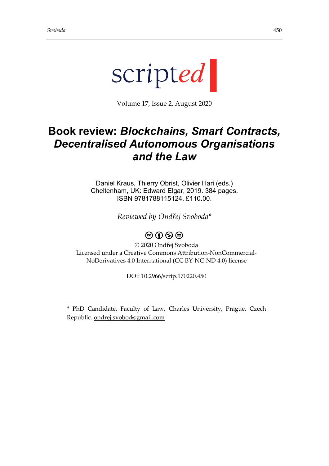

Volume 17, Issue 2, August 2020

## **Book review:** *Blockchains, Smart Contracts, Decentralised Autonomous Organisations and the Law*

Daniel Kraus, Thierry Obrist, Olivier Hari (eds.) Cheltenham, UK: Edward Elgar, 2019. 384 pages. ISBN 9781788115124. £110.00.

*Reviewed by Ondřej Svoboda\**

## $\circledcirc$   $\circledcirc$   $\circledcirc$

© 2020 Ondřej Svoboda Licensed under a Creative Commons Attribution-NonCommercial-NoDerivatives 4.0 International (CC BY-NC-ND 4.0) license

DOI: 10.2966/scrip.170220.450

\* PhD Candidate, Faculty of Law, Charles University, Prague, Czech Republic. [ondrej.svobod@gmail.com](mailto:ondrej.svobod@gmail.com)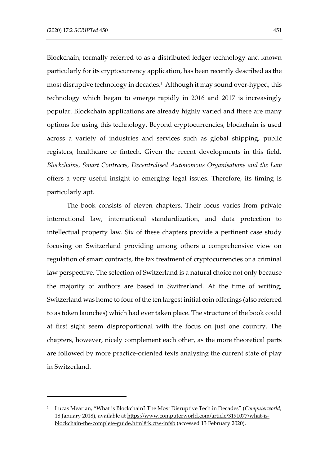Blockchain, formally referred to as a distributed ledger technology and known particularly for its cryptocurrency application, has been recently described as the most disruptive technology in decades.<sup>1</sup> Although it may sound over-hyped, this technology which began to emerge rapidly in 2016 and 2017 is increasingly popular. Blockchain applications are already highly varied and there are many options for using this technology. Beyond cryptocurrencies, blockchain is used across a variety of industries and services such as global shipping, public registers, healthcare or fintech. Given the recent developments in this field, *Blockchains, Smart Contracts, Decentralised Autonomous Organisations and the Law* offers a very useful insight to emerging legal issues. Therefore, its timing is particularly apt.

The book consists of eleven chapters. Their focus varies from private international law, international standardization, and data protection to intellectual property law. Six of these chapters provide a pertinent case study focusing on Switzerland providing among others a comprehensive view on regulation of smart contracts, the tax treatment of cryptocurrencies or a criminal law perspective. The selection of Switzerland is a natural choice not only because the majority of authors are based in Switzerland. At the time of writing, Switzerland was home to four of the ten largest initial coin offerings (also referred to as token launches) which had ever taken place. The structure of the book could at first sight seem disproportional with the focus on just one country. The chapters, however, nicely complement each other, as the more theoretical parts are followed by more practice-oriented texts analysing the current state of play in Switzerland.

<sup>1</sup> Lucas Mearian, "What is Blockchain? The Most Disruptive Tech in Decades" (*Computerworld*, 18 January 2018), available at [https://www.computerworld.com/article/3191077/what-is](https://www.computerworld.com/article/3191077/what-is-blockchain-the-complete-guide.html#tk.ctw-infsb)[blockchain-the-complete-guide.html#tk.ctw-infsb](https://www.computerworld.com/article/3191077/what-is-blockchain-the-complete-guide.html#tk.ctw-infsb) (accessed 13 February 2020).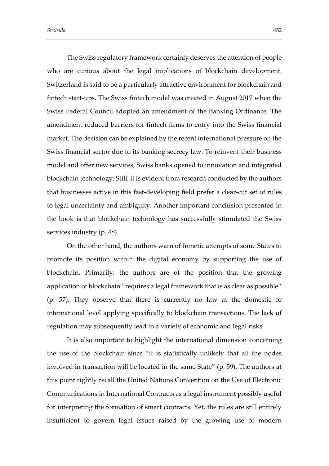The Swiss regulatory framework certainly deserves the attention of people who are curious about the legal implications of blockchain development. Switzerland is said to be a particularly attractive environment for blockchain and fintech start-ups. The Swiss fintech model was created in August 2017 when the Swiss Federal Council adopted an amendment of the Banking Ordinance. The amendment reduced barriers for fintech firms to entry into the Swiss financial market. The decision can be explained by the recent international pressure on the Swiss financial sector due to its banking secrecy law. To reinvent their business model and offer new services, Swiss banks opened to innovation and integrated blockchain technology. Still, it is evident from research conducted by the authors that businesses active in this fast-developing field prefer a clear-cut set of rules to legal uncertainty and ambiguity. Another important conclusion presented in the book is that blockchain technology has successfully stimulated the Swiss services industry (p. 48).

On the other hand, the authors warn of frenetic attempts of some States to promote its position within the digital economy by supporting the use of blockchain. Primarily, the authors are of the position that the growing application of blockchain "requires a legal framework that is as clear as possible" (p. 57). They observe that there is currently no law at the domestic or international level applying specifically to blockchain transactions. The lack of regulation may subsequently lead to a variety of economic and legal risks.

It is also important to highlight the international dimension concerning the use of the blockchain since "it is statistically unlikely that all the nodes involved in transaction will be located in the same State" (p. 59). The authors at this point rightly recall the United Nations Convention on the Use of Electronic Communications in International Contracts as a legal instrument possibly useful for interpreting the formation of smart contracts. Yet, the rules are still entirely insufficient to govern legal issues raised by the growing use of modern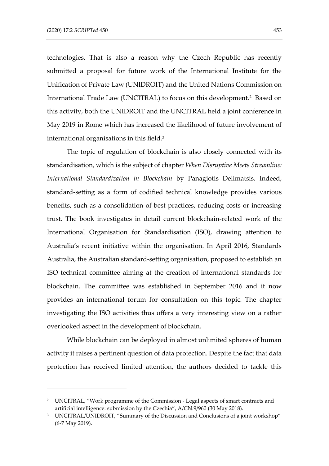technologies. That is also a reason why the Czech Republic has recently submitted a proposal for future work of the International Institute for the Unification of Private Law (UNIDROIT) and the United Nations Commission on International Trade Law (UNCITRAL) to focus on this development.<sup>2</sup> Based on this activity, both the UNIDROIT and the UNCITRAL held a joint conference in May 2019 in Rome which has increased the likelihood of future involvement of international organisations in this field.<sup>3</sup>

The topic of regulation of blockchain is also closely connected with its standardisation, which is the subject of chapter *When Disruptive Meets Streamline: International Standardization in Blockchain* by Panagiotis Delimatsis. Indeed, standard-setting as a form of codified technical knowledge provides various benefits, such as a consolidation of best practices, reducing costs or increasing trust. The book investigates in detail current blockchain-related work of the International Organisation for Standardisation (ISO), drawing attention to Australia's recent initiative within the organisation. In April 2016, Standards Australia, the Australian standard-setting organisation, proposed to establish an ISO technical committee aiming at the creation of international standards for blockchain. The committee was established in September 2016 and it now provides an international forum for consultation on this topic. The chapter investigating the ISO activities thus offers a very interesting view on a rather overlooked aspect in the development of blockchain.

While blockchain can be deployed in almost unlimited spheres of human activity it raises a pertinent question of data protection. Despite the fact that data protection has received limited attention, the authors decided to tackle this

<sup>&</sup>lt;sup>2</sup> UNCITRAL, "Work programme of the Commission - Legal aspects of smart contracts and artificial intelligence: submission by the Czechia", A/CN.9/960 (30 May 2018).

<sup>&</sup>lt;sup>3</sup> UNCITRAL/UNIDROIT, "Summary of the Discussion and Conclusions of a joint workshop" (6-7 May 2019).